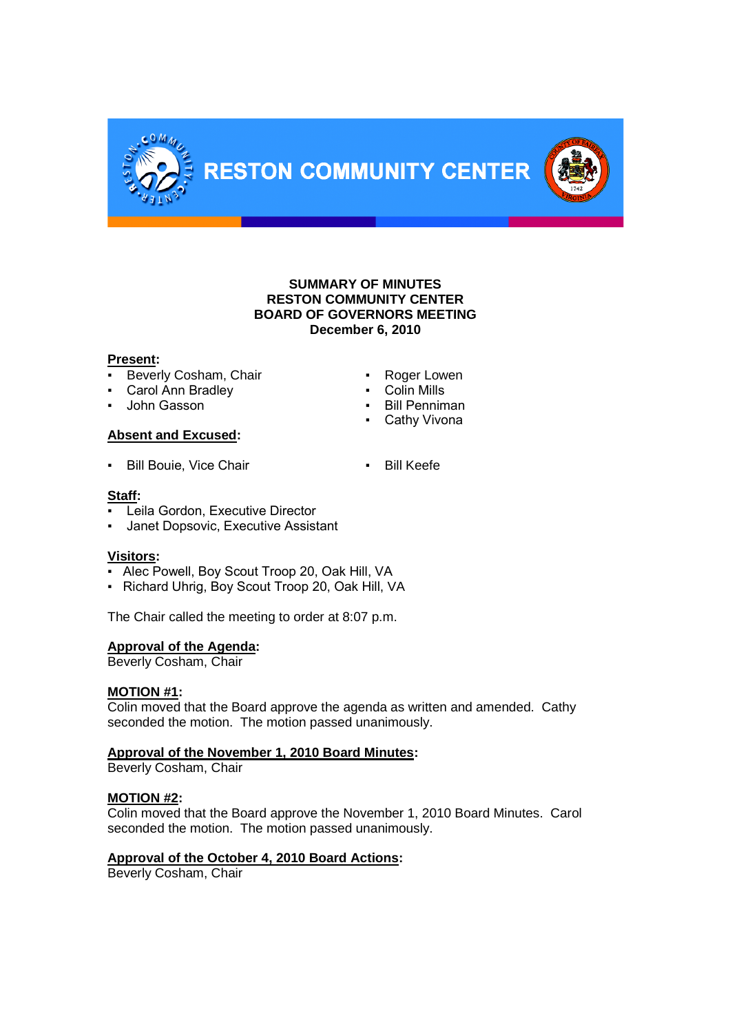

# **SUMMARY OF MINUTES RESTON COMMUNITY CENTER BOARD OF GOVERNORS MEETING December 6, 2010**

# **Present:**

- **Beverly Cosham, Chair <b>Example 2** Roger Lowen
- Carol Ann Bradley  **Colin Mills**
- **John Gasson Bill Penniman**

# **Absent and Excused:**

**• Bill Bouie, Vice Chair <b>EXACT • Bill Keefe** 

# **Staff:**

- Leila Gordon, Executive Director
- Janet Dopsovic, Executive Assistant

# **Visitors:**

- Alec Powell, Boy Scout Troop 20, Oak Hill, VA
- Richard Uhrig, Boy Scout Troop 20, Oak Hill, VA

The Chair called the meeting to order at 8:07 p.m.

# **Approval of the Agenda:**

Beverly Cosham, Chair

# **MOTION #1:**

Colin moved that the Board approve the agenda as written and amended. Cathy seconded the motion. The motion passed unanimously.

# **Approval of the November 1, 2010 Board Minutes:**

Beverly Cosham, Chair

# **MOTION #2:**

Colin moved that the Board approve the November 1, 2010 Board Minutes. Carol seconded the motion. The motion passed unanimously.

# **Approval of the October 4, 2010 Board Actions:**

Beverly Cosham, Chair

- 
- 
- 
- Cathy Vivona
-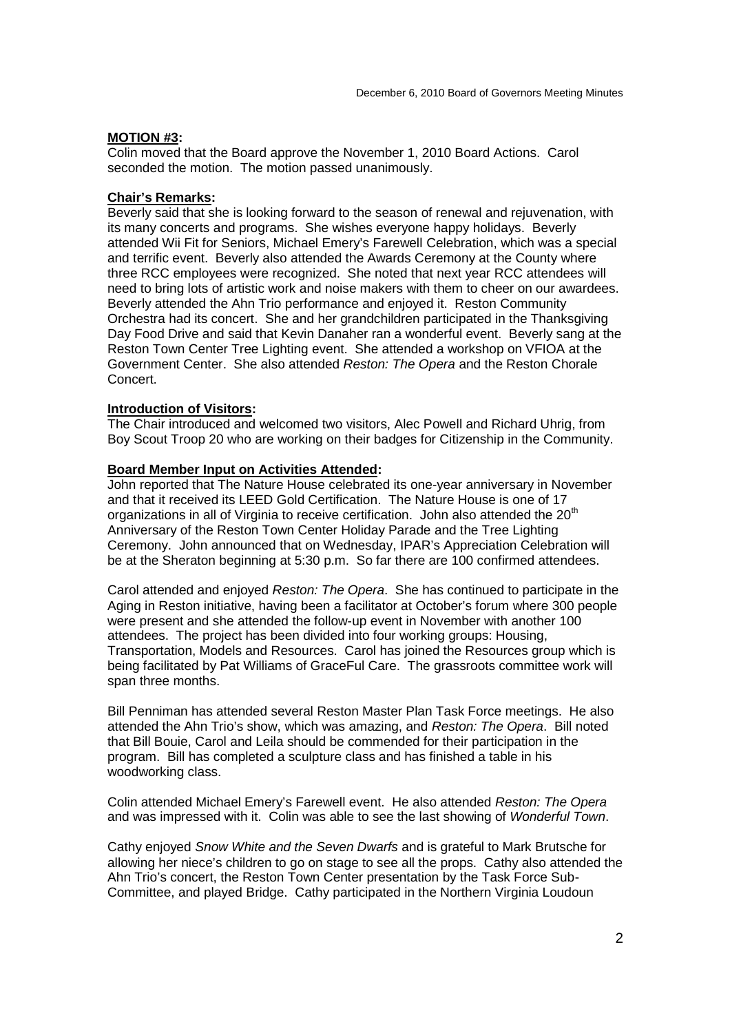#### **MOTION #3:**

Colin moved that the Board approve the November 1, 2010 Board Actions. Carol seconded the motion. The motion passed unanimously.

#### **Chair's Remarks:**

Beverly said that she is looking forward to the season of renewal and rejuvenation, with its many concerts and programs. She wishes everyone happy holidays. Beverly attended Wii Fit for Seniors, Michael Emery's Farewell Celebration, which was a special and terrific event. Beverly also attended the Awards Ceremony at the County where three RCC employees were recognized. She noted that next year RCC attendees will need to bring lots of artistic work and noise makers with them to cheer on our awardees. Beverly attended the Ahn Trio performance and enjoyed it. Reston Community Orchestra had its concert. She and her grandchildren participated in the Thanksgiving Day Food Drive and said that Kevin Danaher ran a wonderful event. Beverly sang at the Reston Town Center Tree Lighting event. She attended a workshop on VFIOA at the Government Center. She also attended *Reston: The Opera* and the Reston Chorale Concert.

# **Introduction of Visitors:**

The Chair introduced and welcomed two visitors, Alec Powell and Richard Uhrig, from Boy Scout Troop 20 who are working on their badges for Citizenship in the Community.

#### **Board Member Input on Activities Attended:**

John reported that The Nature House celebrated its one-year anniversary in November and that it received its LEED Gold Certification. The Nature House is one of 17 organizations in all of Virginia to receive certification. John also attended the 20<sup>th</sup> Anniversary of the Reston Town Center Holiday Parade and the Tree Lighting Ceremony. John announced that on Wednesday, IPAR's Appreciation Celebration will be at the Sheraton beginning at 5:30 p.m. So far there are 100 confirmed attendees.

Carol attended and enjoyed *Reston: The Opera*. She has continued to participate in the Aging in Reston initiative, having been a facilitator at October's forum where 300 people were present and she attended the follow-up event in November with another 100 attendees. The project has been divided into four working groups: Housing, Transportation, Models and Resources. Carol has joined the Resources group which is being facilitated by Pat Williams of GraceFul Care. The grassroots committee work will span three months.

Bill Penniman has attended several Reston Master Plan Task Force meetings. He also attended the Ahn Trio's show, which was amazing, and *Reston: The Opera*. Bill noted that Bill Bouie, Carol and Leila should be commended for their participation in the program. Bill has completed a sculpture class and has finished a table in his woodworking class.

Colin attended Michael Emery's Farewell event. He also attended *Reston: The Opera* and was impressed with it. Colin was able to see the last showing of *Wonderful Town*.

Cathy enjoyed *Snow White and the Seven Dwarfs* and is grateful to Mark Brutsche for allowing her niece's children to go on stage to see all the props. Cathy also attended the Ahn Trio's concert, the Reston Town Center presentation by the Task Force Sub-Committee, and played Bridge. Cathy participated in the Northern Virginia Loudoun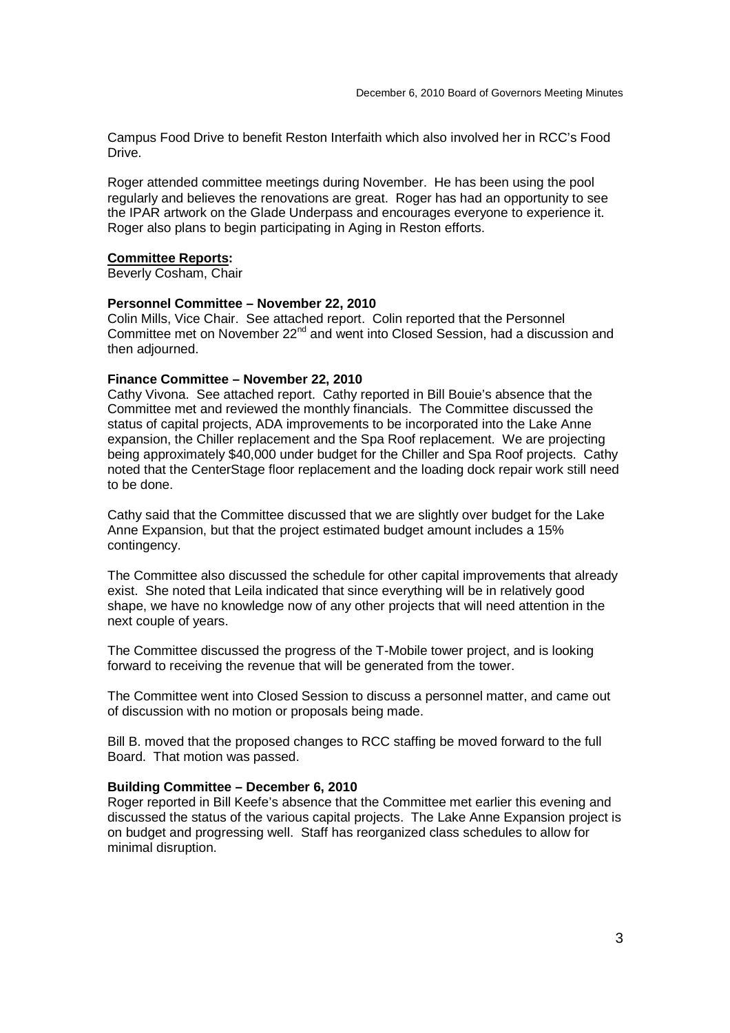Campus Food Drive to benefit Reston Interfaith which also involved her in RCC's Food Drive.

Roger attended committee meetings during November. He has been using the pool regularly and believes the renovations are great. Roger has had an opportunity to see the IPAR artwork on the Glade Underpass and encourages everyone to experience it. Roger also plans to begin participating in Aging in Reston efforts.

#### **Committee Reports:**

Beverly Cosham, Chair

# **Personnel Committee – November 22, 2010**

Colin Mills, Vice Chair. See attached report. Colin reported that the Personnel Committee met on November 22<sup>nd</sup> and went into Closed Session, had a discussion and then adjourned.

#### **Finance Committee – November 22, 2010**

Cathy Vivona. See attached report. Cathy reported in Bill Bouie's absence that the Committee met and reviewed the monthly financials. The Committee discussed the status of capital projects, ADA improvements to be incorporated into the Lake Anne expansion, the Chiller replacement and the Spa Roof replacement. We are projecting being approximately \$40,000 under budget for the Chiller and Spa Roof projects. Cathy noted that the CenterStage floor replacement and the loading dock repair work still need to be done.

Cathy said that the Committee discussed that we are slightly over budget for the Lake Anne Expansion, but that the project estimated budget amount includes a 15% contingency.

The Committee also discussed the schedule for other capital improvements that already exist. She noted that Leila indicated that since everything will be in relatively good shape, we have no knowledge now of any other projects that will need attention in the next couple of years.

The Committee discussed the progress of the T-Mobile tower project, and is looking forward to receiving the revenue that will be generated from the tower.

The Committee went into Closed Session to discuss a personnel matter, and came out of discussion with no motion or proposals being made.

Bill B. moved that the proposed changes to RCC staffing be moved forward to the full Board. That motion was passed.

#### **Building Committee – December 6, 2010**

Roger reported in Bill Keefe's absence that the Committee met earlier this evening and discussed the status of the various capital projects. The Lake Anne Expansion project is on budget and progressing well. Staff has reorganized class schedules to allow for minimal disruption.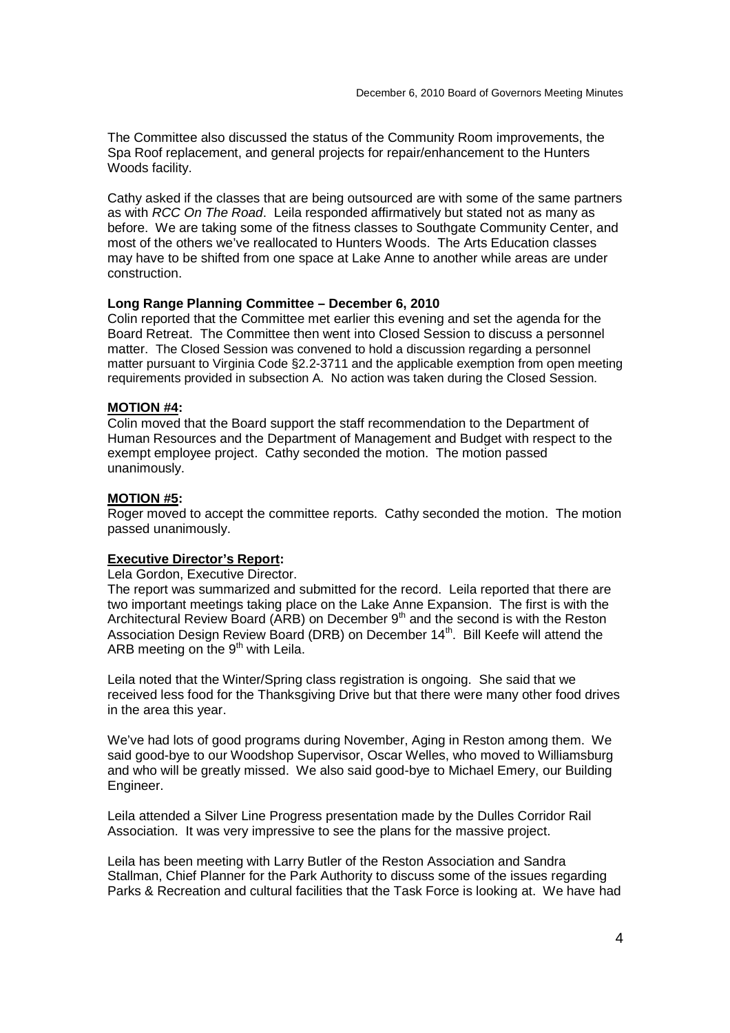The Committee also discussed the status of the Community Room improvements, the Spa Roof replacement, and general projects for repair/enhancement to the Hunters Woods facility.

Cathy asked if the classes that are being outsourced are with some of the same partners as with *RCC On The Road*. Leila responded affirmatively but stated not as many as before. We are taking some of the fitness classes to Southgate Community Center, and most of the others we've reallocated to Hunters Woods. The Arts Education classes may have to be shifted from one space at Lake Anne to another while areas are under construction.

# **Long Range Planning Committee – December 6, 2010**

Colin reported that the Committee met earlier this evening and set the agenda for the Board Retreat. The Committee then went into Closed Session to discuss a personnel matter. The Closed Session was convened to hold a discussion regarding a personnel matter pursuant to Virginia Code §2.2-3711 and the applicable exemption from open meeting requirements provided in subsection A. No action was taken during the Closed Session.

# **MOTION #4:**

Colin moved that the Board support the staff recommendation to the Department of Human Resources and the Department of Management and Budget with respect to the exempt employee project. Cathy seconded the motion. The motion passed unanimously.

# **MOTION #5:**

Roger moved to accept the committee reports. Cathy seconded the motion. The motion passed unanimously.

# **Executive Director's Report:**

Lela Gordon, Executive Director.

The report was summarized and submitted for the record. Leila reported that there are two important meetings taking place on the Lake Anne Expansion. The first is with the Architectural Review Board (ARB) on December  $9<sup>th</sup>$  and the second is with the Reston Association Design Review Board (DRB) on December 14<sup>th</sup>. Bill Keefe will attend the ARB meeting on the  $9<sup>th</sup>$  with Leila.

Leila noted that the Winter/Spring class registration is ongoing. She said that we received less food for the Thanksgiving Drive but that there were many other food drives in the area this year.

We've had lots of good programs during November, Aging in Reston among them. We said good-bye to our Woodshop Supervisor, Oscar Welles, who moved to Williamsburg and who will be greatly missed. We also said good-bye to Michael Emery, our Building Engineer.

Leila attended a Silver Line Progress presentation made by the Dulles Corridor Rail Association. It was very impressive to see the plans for the massive project.

Leila has been meeting with Larry Butler of the Reston Association and Sandra Stallman, Chief Planner for the Park Authority to discuss some of the issues regarding Parks & Recreation and cultural facilities that the Task Force is looking at. We have had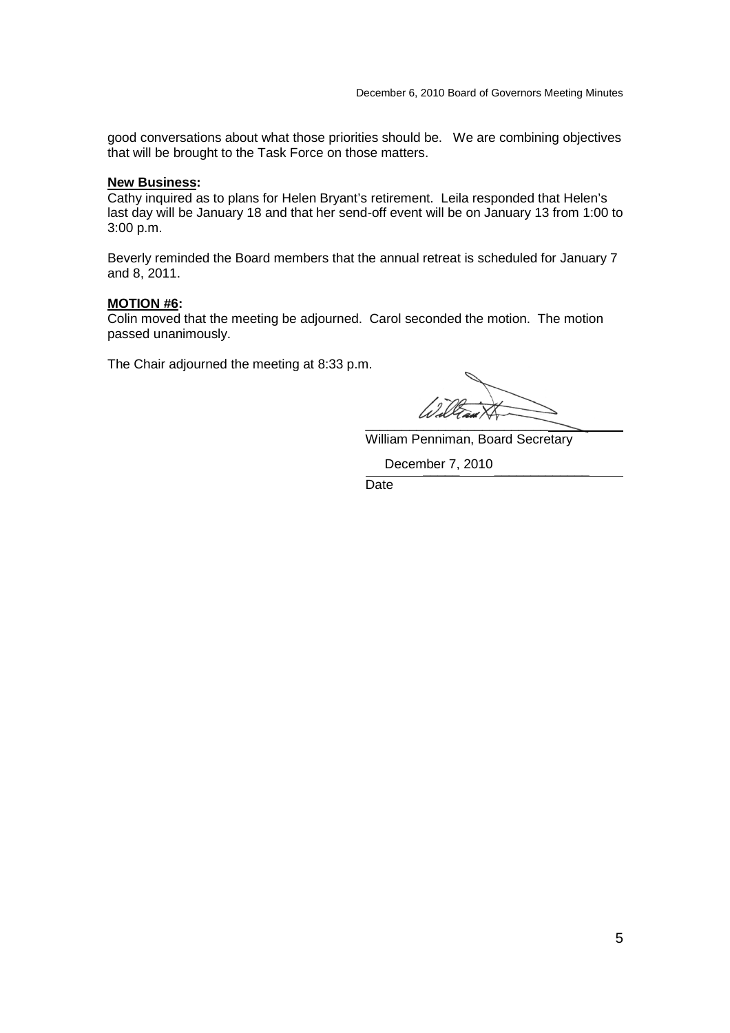good conversations about what those priorities should be. We are combining objectives that will be brought to the Task Force on those matters.

# **New Business:**

Cathy inquired as to plans for Helen Bryant's retirement. Leila responded that Helen's last day will be January 18 and that her send-off event will be on January 13 from 1:00 to 3:00 p.m.

Beverly reminded the Board members that the annual retreat is scheduled for January 7 and 8, 2011.

#### **MOTION #6:**

Colin moved that the meeting be adjourned. Carol seconded the motion. The motion passed unanimously.

The Chair adjourned the meeting at 8:33 p.m.

\_\_\_\_\_\_\_\_\_\_\_\_\_\_\_\_\_\_\_\_\_\_\_\_\_

William Penniman, Board Secretary

December 7, 2010

Date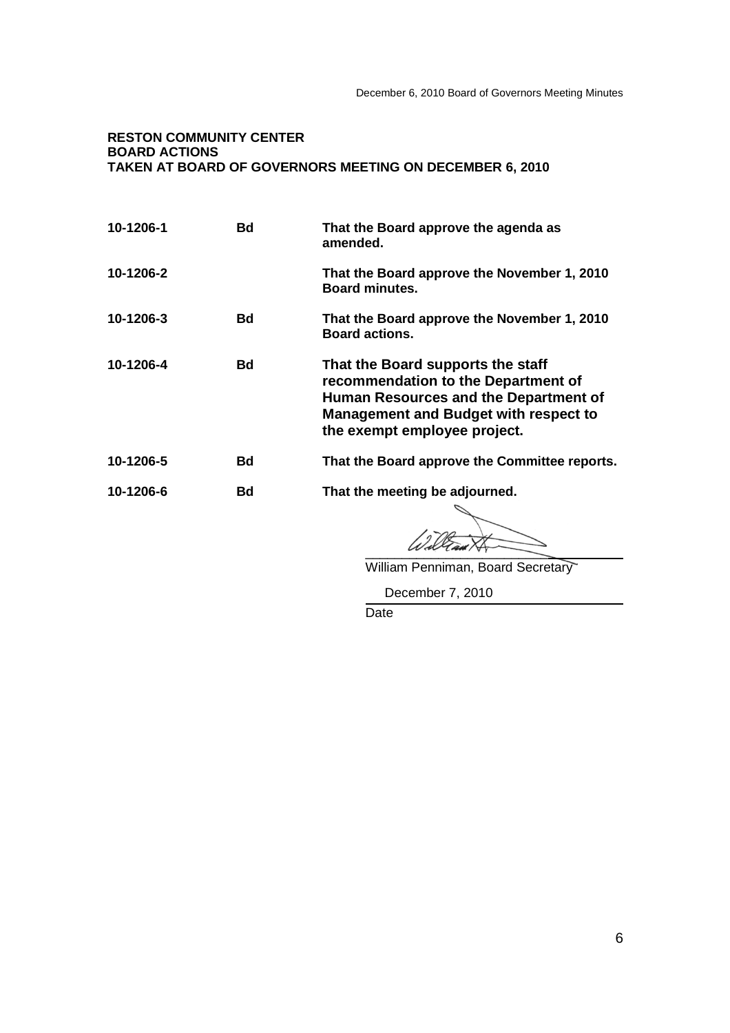# **RESTON COMMUNITY CENTER BOARD ACTIONS TAKEN AT BOARD OF GOVERNORS MEETING ON DECEMBER 6, 2010**

| 10-1206-1 | Bd | That the Board approve the agenda as<br>amended.                                                                                                                                                  |
|-----------|----|---------------------------------------------------------------------------------------------------------------------------------------------------------------------------------------------------|
| 10-1206-2 |    | That the Board approve the November 1, 2010<br><b>Board minutes.</b>                                                                                                                              |
| 10-1206-3 | Bd | That the Board approve the November 1, 2010<br><b>Board actions.</b>                                                                                                                              |
| 10-1206-4 | Bd | That the Board supports the staff<br>recommendation to the Department of<br>Human Resources and the Department of<br><b>Management and Budget with respect to</b><br>the exempt employee project. |
| 10-1206-5 | Bd | That the Board approve the Committee reports.                                                                                                                                                     |
| 10-1206-6 | Bd | That the meeting be adjourned.                                                                                                                                                                    |

 $u$  are  $u$ 

William Penniman, Board Secretary

December 7, 2010

Date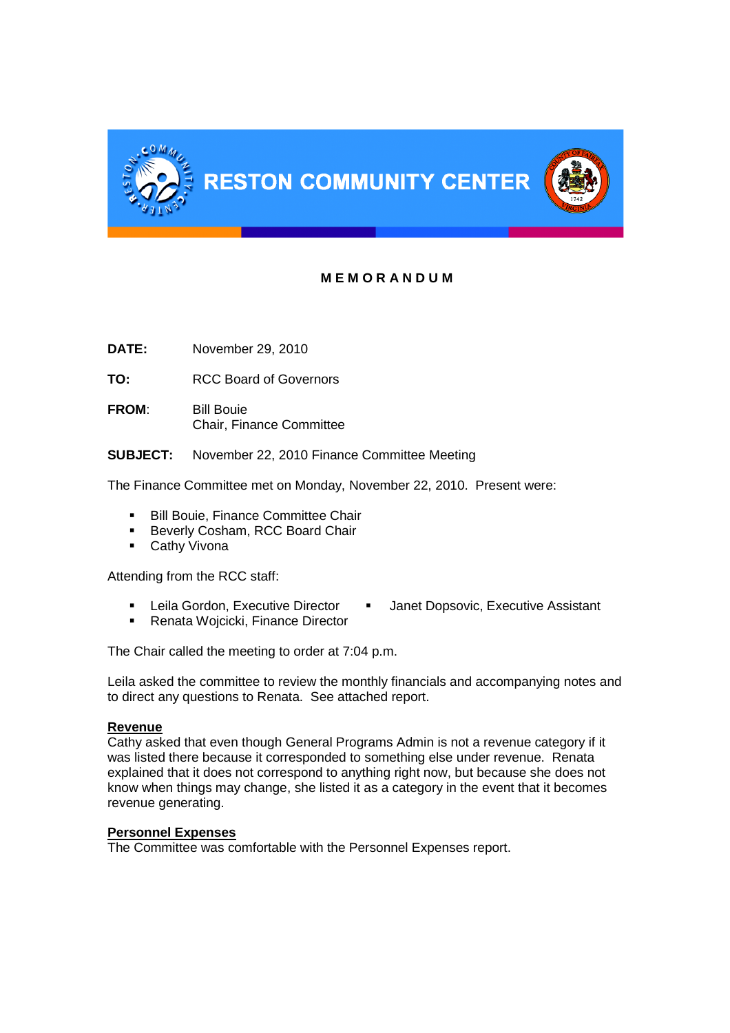

# **M E M O R A N D U M**

**DATE:** November 29, 2010

**TO:** RCC Board of Governors

**FROM**: Bill Bouie Chair, Finance Committee

**SUBJECT:** November 22, 2010 Finance Committee Meeting

The Finance Committee met on Monday, November 22, 2010. Present were:

- **Bill Bouie, Finance Committee Chair**
- **Beverly Cosham, RCC Board Chair**
- **Cathy Vivona**

Attending from the RCC staff:

- Leila Gordon, Executive Director Janet Dopsovic, Executive Assistant
- **Renata Wojcicki, Finance Director**

The Chair called the meeting to order at 7:04 p.m.

Leila asked the committee to review the monthly financials and accompanying notes and to direct any questions to Renata. See attached report.

# **Revenue**

Cathy asked that even though General Programs Admin is not a revenue category if it was listed there because it corresponded to something else under revenue. Renata explained that it does not correspond to anything right now, but because she does not know when things may change, she listed it as a category in the event that it becomes revenue generating.

# **Personnel Expenses**

The Committee was comfortable with the Personnel Expenses report.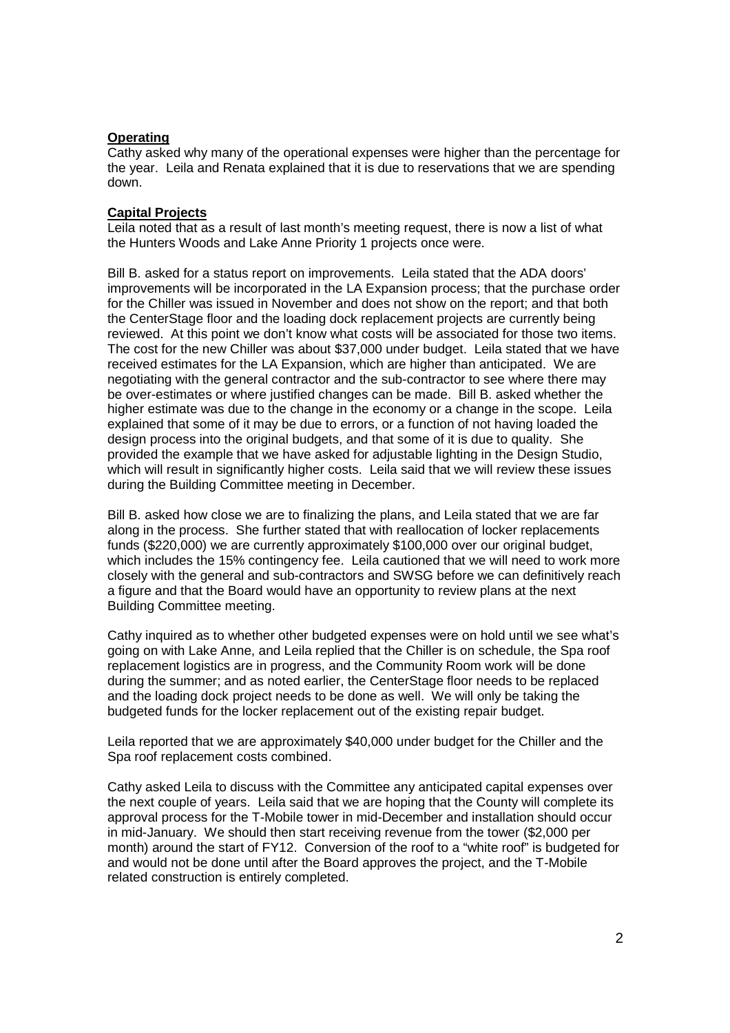# **Operating**

Cathy asked why many of the operational expenses were higher than the percentage for the year. Leila and Renata explained that it is due to reservations that we are spending down.

# **Capital Projects**

Leila noted that as a result of last month's meeting request, there is now a list of what the Hunters Woods and Lake Anne Priority 1 projects once were.

Bill B. asked for a status report on improvements. Leila stated that the ADA doors' improvements will be incorporated in the LA Expansion process; that the purchase order for the Chiller was issued in November and does not show on the report; and that both the CenterStage floor and the loading dock replacement projects are currently being reviewed. At this point we don't know what costs will be associated for those two items. The cost for the new Chiller was about \$37,000 under budget. Leila stated that we have received estimates for the LA Expansion, which are higher than anticipated. We are negotiating with the general contractor and the sub-contractor to see where there may be over-estimates or where justified changes can be made. Bill B. asked whether the higher estimate was due to the change in the economy or a change in the scope. Leila explained that some of it may be due to errors, or a function of not having loaded the design process into the original budgets, and that some of it is due to quality. She provided the example that we have asked for adjustable lighting in the Design Studio, which will result in significantly higher costs. Leila said that we will review these issues during the Building Committee meeting in December.

Bill B. asked how close we are to finalizing the plans, and Leila stated that we are far along in the process. She further stated that with reallocation of locker replacements funds (\$220,000) we are currently approximately \$100,000 over our original budget, which includes the 15% contingency fee. Leila cautioned that we will need to work more closely with the general and sub-contractors and SWSG before we can definitively reach a figure and that the Board would have an opportunity to review plans at the next Building Committee meeting.

Cathy inquired as to whether other budgeted expenses were on hold until we see what's going on with Lake Anne, and Leila replied that the Chiller is on schedule, the Spa roof replacement logistics are in progress, and the Community Room work will be done during the summer; and as noted earlier, the CenterStage floor needs to be replaced and the loading dock project needs to be done as well. We will only be taking the budgeted funds for the locker replacement out of the existing repair budget.

Leila reported that we are approximately \$40,000 under budget for the Chiller and the Spa roof replacement costs combined.

Cathy asked Leila to discuss with the Committee any anticipated capital expenses over the next couple of years. Leila said that we are hoping that the County will complete its approval process for the T-Mobile tower in mid-December and installation should occur in mid-January. We should then start receiving revenue from the tower (\$2,000 per month) around the start of FY12. Conversion of the roof to a "white roof" is budgeted for and would not be done until after the Board approves the project, and the T-Mobile related construction is entirely completed.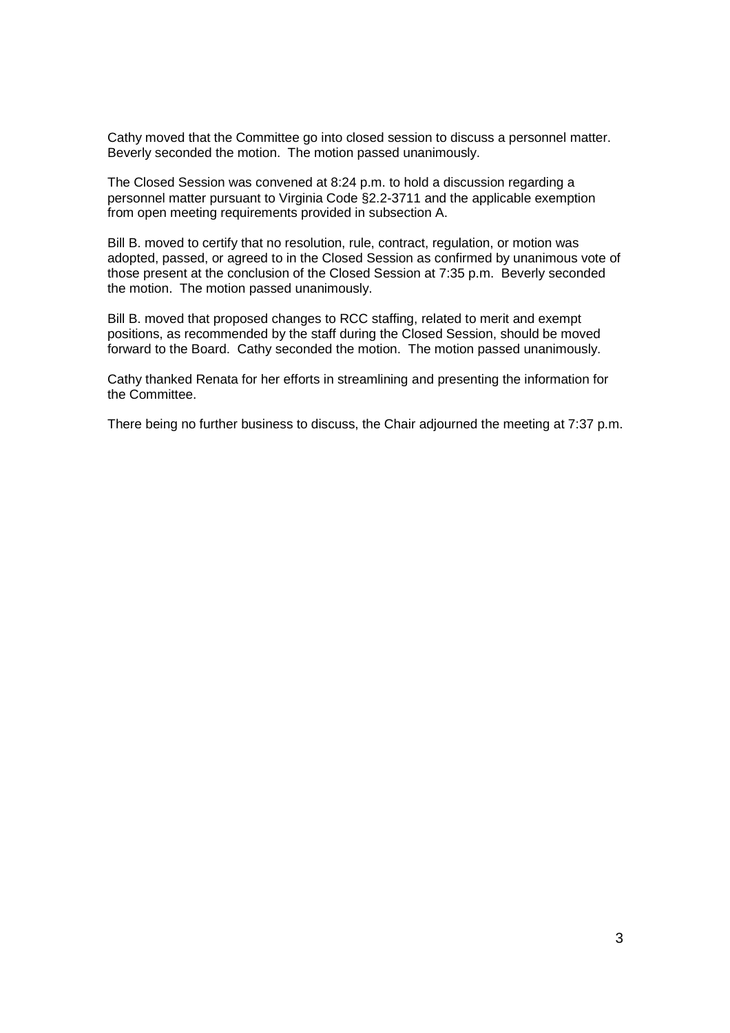Cathy moved that the Committee go into closed session to discuss a personnel matter. Beverly seconded the motion. The motion passed unanimously.

The Closed Session was convened at 8:24 p.m. to hold a discussion regarding a personnel matter pursuant to Virginia Code §2.2-3711 and the applicable exemption from open meeting requirements provided in subsection A.

Bill B. moved to certify that no resolution, rule, contract, regulation, or motion was adopted, passed, or agreed to in the Closed Session as confirmed by unanimous vote of those present at the conclusion of the Closed Session at 7:35 p.m. Beverly seconded the motion. The motion passed unanimously.

Bill B. moved that proposed changes to RCC staffing, related to merit and exempt positions, as recommended by the staff during the Closed Session, should be moved forward to the Board. Cathy seconded the motion. The motion passed unanimously.

Cathy thanked Renata for her efforts in streamlining and presenting the information for the Committee.

There being no further business to discuss, the Chair adjourned the meeting at 7:37 p.m.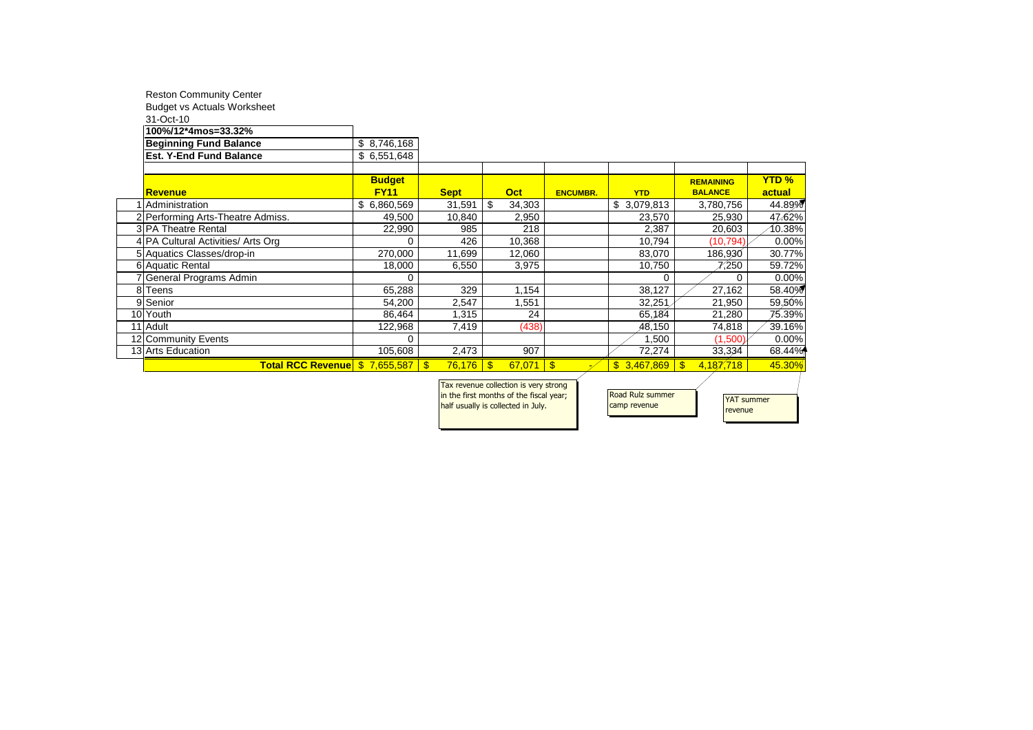|          | <b>Reston Community Center</b>     |               |                     |                              |                 |                           |                  |              |
|----------|------------------------------------|---------------|---------------------|------------------------------|-----------------|---------------------------|------------------|--------------|
|          | <b>Budget vs Actuals Worksheet</b> |               |                     |                              |                 |                           |                  |              |
|          | 31-Oct-10                          |               |                     |                              |                 |                           |                  |              |
|          | 100%/12*4mos=33.32%                |               |                     |                              |                 |                           |                  |              |
|          | <b>Beginning Fund Balance</b>      | \$8,746,168   |                     |                              |                 |                           |                  |              |
|          | <b>Est. Y-End Fund Balance</b>     | \$6,551,648   |                     |                              |                 |                           |                  |              |
|          |                                    |               |                     |                              |                 |                           |                  |              |
|          |                                    | <b>Budget</b> |                     |                              |                 |                           | <b>REMAINING</b> | <b>YTD %</b> |
|          | <b>Revenue</b>                     | <b>FY11</b>   | <b>Sept</b>         | <b>Oct</b>                   | <b>ENCUMBR.</b> | <b>YTD</b>                | <b>BALANCE</b>   | actual       |
|          | Administration                     | \$6,860,569   | 31,591              | \$.<br>34,303                |                 | \$3,079,813               | 3,780,756        | 44.89%       |
|          | 2 Performing Arts-Theatre Admiss.  | 49,500        | 10,840              | 2,950                        |                 | 23,570                    | 25,930           | 47.62%       |
|          | <b>3 PA Theatre Rental</b>         | 22,990        | 985                 | 218                          |                 | 2,387                     | 20,603           | 10.38%       |
|          | 4 PA Cultural Activities/ Arts Org | 0             | 426                 | 10,368                       |                 | 10,794                    | (10, 794)        | 0.00%        |
|          | 5 Aquatics Classes/drop-in         | 270,000       | 11,699              | 12,060                       |                 | 83,070                    | 186,930          | 30.77%       |
|          | 6 Aquatic Rental                   | 18,000        | 6,550               | 3,975                        |                 | 10,750                    | 7,250            | 59.72%       |
|          | 7 General Programs Admin           | 0             |                     |                              |                 | 0                         | 0                | 0.00%        |
|          | 8 Teens                            | 65,288        | 329                 | 1,154                        |                 | 38,127                    | 27,162           | 58.40%       |
|          | 9 Senior                           | 54,200        | 2,547               | 1,551                        |                 | 32,251                    | 21,950           | 59.50%       |
| 10 Youth |                                    | 86,464        | 1,315               | 24                           |                 | 65,184                    | 21,280           | 75.39%       |
| 11 Adult |                                    | 122,968       | 7,419               | (438)                        |                 | 48,150                    | 74,818           | 39.16%       |
|          | 12 Community Events                | 0             |                     |                              |                 | 1,500                     | (1,500)          | 0.00%        |
|          | 13 Arts Education                  | 105,608       | 2,473               | 907                          |                 | 72,274                    | 33,334           | 68.44%       |
|          |                                    |               | 76,176<br><b>.S</b> | $\mathbf{\hat{s}}$<br>67,071 | - \$            | 3,467,869<br>$\mathbb{S}$ | 4,187,718<br>-\$ | 45.30%       |
|          |                                    |               |                     |                              |                 |                           |                  |              |

| Tax revenue collection is very strong   |
|-----------------------------------------|
| in the first months of the fiscal year; |
| half usually is collected in July.      |
|                                         |

Road Rulz summer camp revenue

YAT summer revenue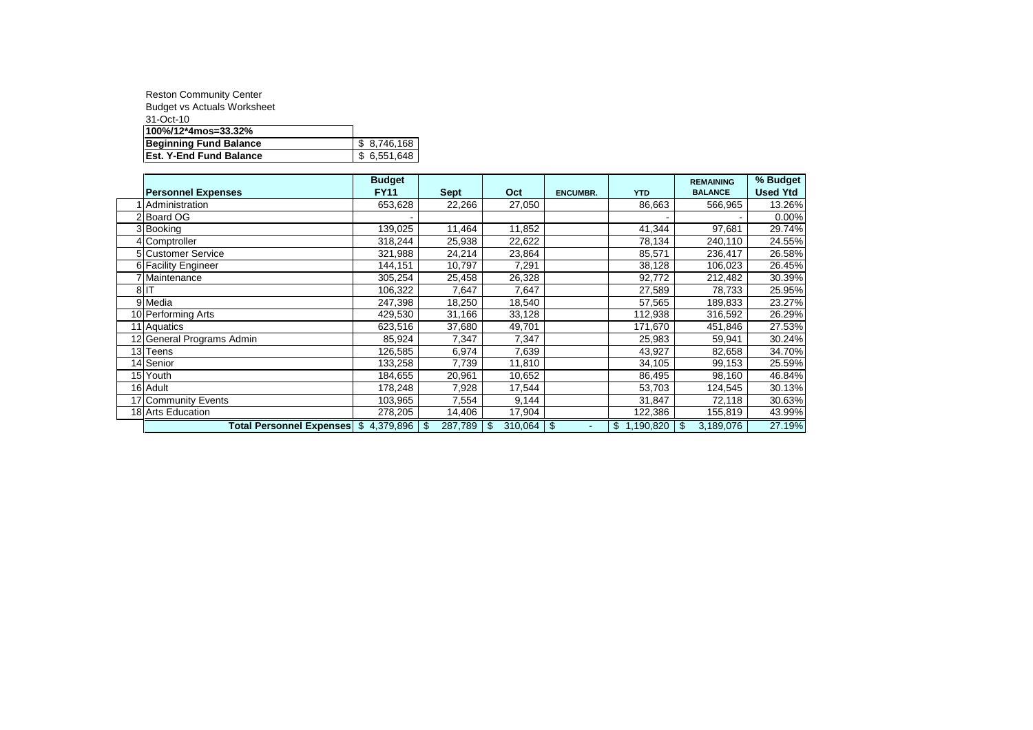| <b>Reston Community Center</b>     |             |
|------------------------------------|-------------|
| <b>Budget vs Actuals Worksheet</b> |             |
| 31-Oct-10                          |             |
| 100%/12*4mos=33.32%                |             |
| <b>Beginning Fund Balance</b>      | \$8,746,168 |
| <b>Est. Y-End Fund Balance</b>     | \$6,551,648 |

|                                       | <b>Budget</b> |                |               |                 |                           | <b>REMAINING</b> | % Budget        |
|---------------------------------------|---------------|----------------|---------------|-----------------|---------------------------|------------------|-----------------|
| <b>Personnel Expenses</b>             | <b>FY11</b>   | <b>Sept</b>    | Oct           | <b>ENCUMBR.</b> | <b>YTD</b>                | <b>BALANCE</b>   | <b>Used Ytd</b> |
| <b>Administration</b>                 | 653,628       | 22,266         | 27,050        |                 | 86,663                    | 566,965          | 13.26%          |
| 2 Board OG                            |               |                |               |                 |                           |                  | 0.00%           |
| 3 Booking                             | 139,025       | 11,464         | 11,852        |                 | 41,344                    | 97,681           | 29.74%          |
| 4 Comptroller                         | 318,244       | 25,938         | 22,622        |                 | 78,134                    | 240,110          | 24.55%          |
| 5 Customer Service                    | 321,988       | 24,214         | 23,864        |                 | 85,571                    | 236,417          | 26.58%          |
| 6 Facility Engineer                   | 144.151       | 10,797         | 7,291         |                 | 38,128                    | 106,023          | 26.45%          |
| Maintenance                           | 305,254       | 25,458         | 26,328        |                 | 92,772                    | 212,482          | 30.39%          |
| $8$ IT                                | 106,322       | 7,647          | 7,647         |                 | 27,589                    | 78,733           | 25.95%          |
| 9 Media                               | 247,398       | 18,250         | 18,540        |                 | 57,565                    | 189,833          | 23.27%          |
| 10 Performing Arts                    | 429,530       | 31,166         | 33,128        |                 | 112,938                   | 316,592          | 26.29%          |
| 11 Aquatics                           | 623,516       | 37,680         | 49,701        |                 | 171,670                   | 451,846          | 27.53%          |
| 12 General Programs Admin             | 85,924        | 7,347          | 7,347         |                 | 25,983                    | 59,941           | 30.24%          |
| 13 Teens                              | 126,585       | 6,974          | 7,639         |                 | 43,927                    | 82,658           | 34.70%          |
| 14 Senior                             | 133,258       | 7,739          | 11,810        |                 | 34,105                    | 99,153           | 25.59%          |
| 15 Youth                              | 184,655       | 20,961         | 10,652        |                 | 86,495                    | 98,160           | 46.84%          |
| 16 Adult                              | 178.248       | 7,928          | 17,544        |                 | 53,703                    | 124,545          | 30.13%          |
| 17 Community Events                   | 103,965       | 7,554          | 9,144         |                 | 31,847                    | 72,118           | 30.63%          |
| 18 Arts Education                     | 278,205       | 14,406         | 17,904        |                 | 122,386                   | 155,819          | 43.99%          |
| Total Personnel Expenses \$ 4,379,896 |               | 287,789<br>-\$ | 310,064<br>\$ | \$              | 1,190,820<br>$\mathbb{S}$ | \$<br>3,189,076  | 27.19%          |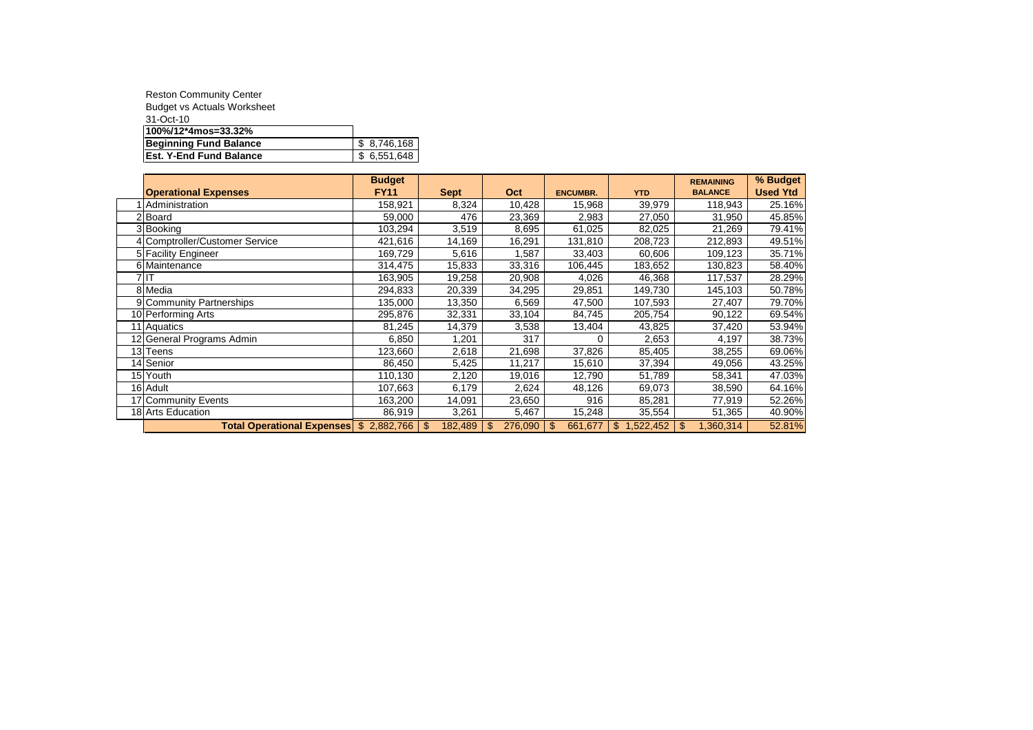| <b>Reston Community Center</b>     |             |
|------------------------------------|-------------|
| <b>Budget vs Actuals Worksheet</b> |             |
| 31-Oct-10                          |             |
| 100%/12*4mos=33.32%                |             |
| Beginning Fund Balance             | \$8.746.168 |
| <b>Est. Y-End Fund Balance</b>     | \$6,551,648 |

|                                         | <b>Budget</b> |                          |               |                 |             | <b>REMAINING</b> | % Budget        |
|-----------------------------------------|---------------|--------------------------|---------------|-----------------|-------------|------------------|-----------------|
| <b>Operational Expenses</b>             | <b>FY11</b>   | <b>Sept</b>              | Oct           | <b>ENCUMBR.</b> | <b>YTD</b>  | <b>BALANCE</b>   | <b>Used Ytd</b> |
| Administration                          | 158,921       | 8,324                    | 10,428        | 15,968          | 39,979      | 118,943          | 25.16%          |
| 2 Board                                 | 59,000        | 476                      | 23,369        | 2,983           | 27,050      | 31,950           | 45.85%          |
| 3 Booking                               | 103,294       | 3,519                    | 8,695         | 61,025          | 82,025      | 21,269           | 79.41%          |
| 4 Comptroller/Customer Service          | 421,616       | 14,169                   | 16,291        | 131,810         | 208,723     | 212,893          | 49.51%          |
| 5 Facility Engineer                     | 169,729       | 5,616                    | 1,587         | 33,403          | 60,606      | 109,123          | 35.71%          |
| 6 Maintenance                           | 314,475       | 15,833                   | 33,316        | 106,445         | 183,652     | 130,823          | 58.40%          |
| 7 IT                                    | 163,905       | 19,258                   | 20,908        | 4,026           | 46,368      | 117,537          | 28.29%          |
| 8 Media                                 | 294,833       | 20,339                   | 34,295        | 29,851          | 149,730     | 145,103          | 50.78%          |
| 9 Community Partnerships                | 135,000       | 13,350                   | 6,569         | 47,500          | 107,593     | 27,407           | 79.70%          |
| 10 Performing Arts                      | 295,876       | 32,331                   | 33,104        | 84,745          | 205,754     | 90,122           | 69.54%          |
| 11 Aquatics                             | 81,245        | 14,379                   | 3,538         | 13,404          | 43,825      | 37,420           | 53.94%          |
| 12 General Programs Admin               | 6,850         | 1,201                    | 317           | 0               | 2,653       | 4,197            | 38.73%          |
| 13 Teens                                | 123.660       | 2,618                    | 21,698        | 37,826          | 85,405      | 38,255           | 69.06%          |
| 14 Senior                               | 86,450        | 5,425                    | 11,217        | 15,610          | 37,394      | 49,056           | 43.25%          |
| 15 Youth                                | 110,130       | 2,120                    | 19,016        | 12,790          | 51,789      | 58,341           | 47.03%          |
| 16 Adult                                | 107,663       | 6,179                    | 2,624         | 48,126          | 69,073      | 38,590           | 64.16%          |
| 17 Community Events                     | 163,200       | 14,091                   | 23,650        | 916             | 85,281      | 77,919           | 52.26%          |
| 18 Arts Education                       | 86,919        | 3,261                    | 5,467         | 15,248          | 35,554      | 51,365           | 40.90%          |
| Total Operational Expenses \$ 2,882,766 |               | $\mathbf{\$}$<br>182,489 | 276,090<br>\$ | 661,677<br>\$   | \$1,522,452 | \$<br>1,360,314  | 52.81%          |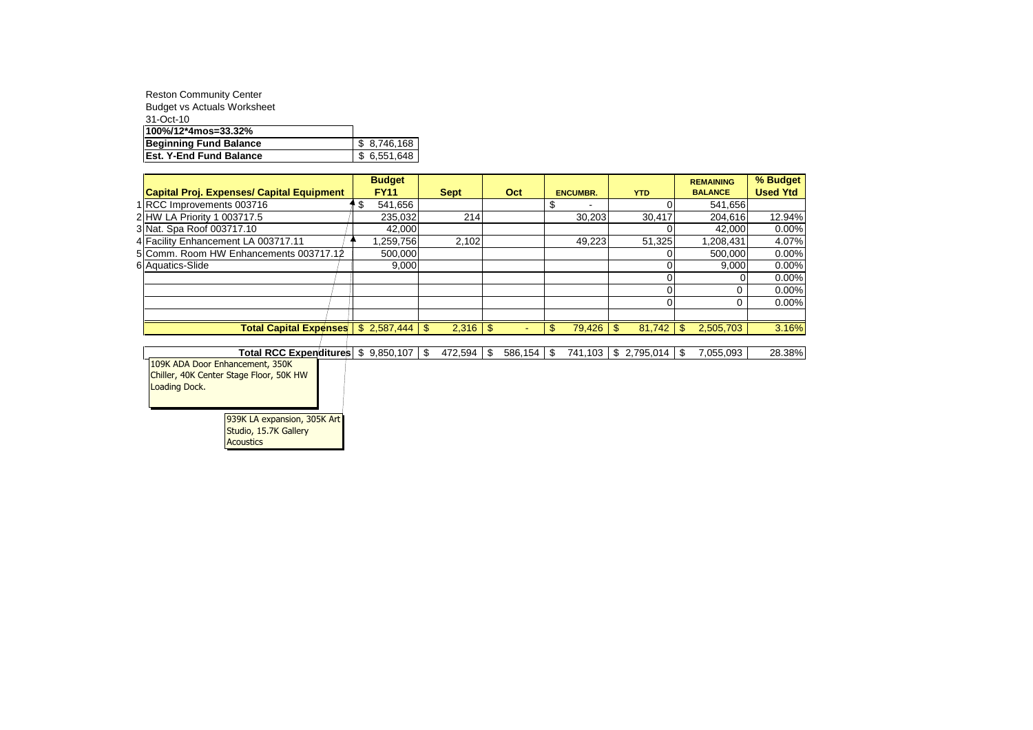| <b>Reston Community Center</b>     |             |
|------------------------------------|-------------|
| <b>Budget vs Actuals Worksheet</b> |             |
| 31-Oct-10                          |             |
| 100%/12*4mos=33.32%                |             |
| Beginning Fund Balance             | \$8,746,168 |
| <b>Est. Y-End Fund Balance</b>     | \$6,551,648 |

|                                                                                             | <b>Budget</b> |               |             |            |         |                |                          |     |             |     | <b>REMAINING</b> | % Budget        |
|---------------------------------------------------------------------------------------------|---------------|---------------|-------------|------------|---------|----------------|--------------------------|-----|-------------|-----|------------------|-----------------|
| <b>Capital Proj. Expenses/ Capital Equipment</b>                                            | <b>FY11</b>   |               | <b>Sept</b> |            | Oct     |                | <b>ENCUMBR.</b>          |     | <b>YTD</b>  |     | <b>BALANCE</b>   | <b>Used Ytd</b> |
| 1 RCC Improvements 003716                                                                   | \$<br>541,656 |               |             |            |         | \$             | $\overline{\phantom{0}}$ |     |             |     | 541,656          |                 |
| 2 HW LA Priority 1 003717.5                                                                 | 235,032       |               | 214         |            |         |                | 30,203                   |     | 30,417      |     | 204,616          | 12.94%          |
| 3 Nat. Spa Roof 003717.10                                                                   | 42,000        |               |             |            |         |                |                          |     |             |     | 42,000           | 0.00%           |
| 4 Facility Enhancement LA 003717.11                                                         | .259,756      |               | 2,102       |            |         |                | 49,223                   |     | 51,325      |     | 1,208,431        | 4.07%           |
| 5 Comm. Room HW Enhancements 003717.12                                                      | 500,000       |               |             |            |         |                |                          |     |             |     | 500.000          | 0.00%           |
| 6 Aquatics-Slide                                                                            | 9,000         |               |             |            |         |                |                          |     |             |     | 9,000            | 0.00%           |
|                                                                                             |               |               |             |            |         |                |                          |     |             |     | 0                | 0.00%           |
|                                                                                             |               |               |             |            |         |                |                          |     |             |     | 0                | 0.00%           |
|                                                                                             |               |               |             |            |         |                |                          |     |             |     | 0                | 0.00%           |
|                                                                                             |               |               |             |            |         |                |                          |     |             |     |                  |                 |
| <b>Total Capital Expenses</b>                                                               | \$2,587,444   | $\mathbf{\$}$ | 2,316       | $\sqrt{3}$ |         | $\mathfrak{s}$ | 79,426                   | -\$ | 81,742      | \$  | 2,505,703        | 3.16%           |
|                                                                                             |               |               |             |            |         |                |                          |     |             |     |                  |                 |
| <b>Total RCC Expenditures</b>                                                               | \$9,850,107   | \$            | 472.594     | \$         | 586.154 | -\$            | 741.103                  |     | \$2,795,014 | -\$ | 7.055.093        | 28.38%          |
| 109K ADA Door Enhancement, 350K<br>Chiller, 40K Center Stage Floor, 50K HW<br>Loading Dock. |               |               |             |            |         |                |                          |     |             |     |                  |                 |

939K LA expansion, 305K Art Studio, 15.7K Gallery **Acoustics**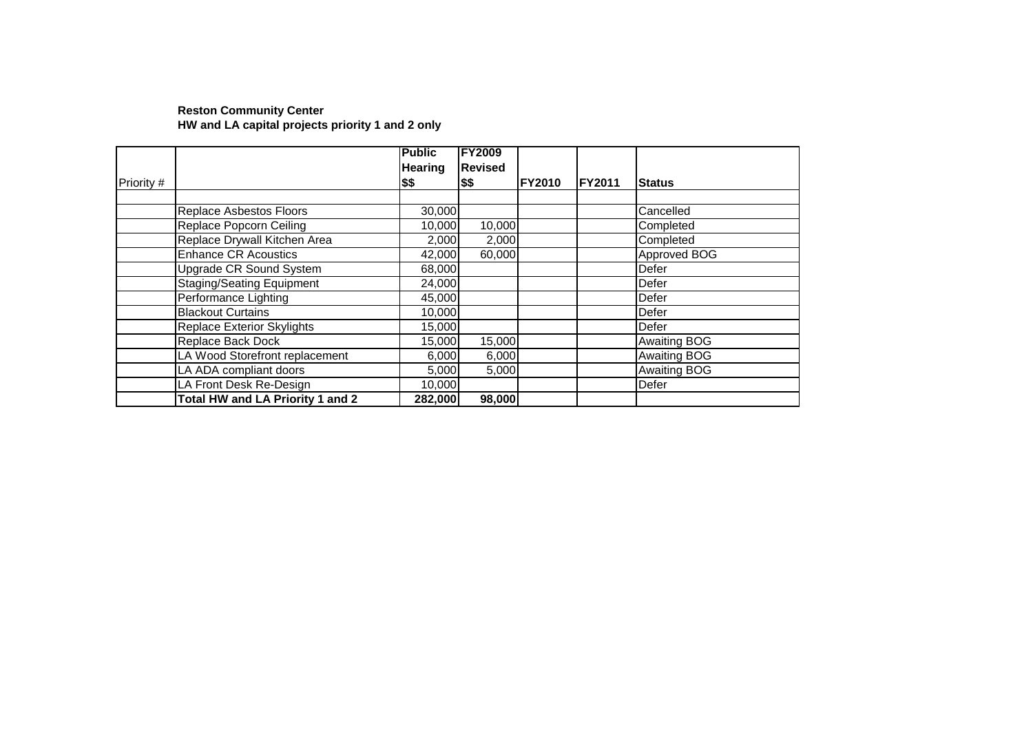#### **Reston Community Center HW and LA capital projects priority 1 and 2 only**

|            |                                         | <b>Public</b>  | <b>FY2009</b>  |               |        |                     |
|------------|-----------------------------------------|----------------|----------------|---------------|--------|---------------------|
|            |                                         | <b>Hearing</b> | <b>Revised</b> |               |        |                     |
| Priority # |                                         | \$\$           | \$\$           | <b>FY2010</b> | FY2011 | <b>Status</b>       |
|            |                                         |                |                |               |        |                     |
|            | Replace Asbestos Floors                 | 30,000         |                |               |        | Cancelled           |
|            | Replace Popcorn Ceiling                 | 10,000         | 10,000         |               |        | Completed           |
|            | Replace Drywall Kitchen Area            | 2,000          | 2,000          |               |        | Completed           |
|            | <b>Enhance CR Acoustics</b>             | 42,000         | 60,000         |               |        | Approved BOG        |
|            | Upgrade CR Sound System                 | 68,000         |                |               |        | Defer               |
|            | <b>Staging/Seating Equipment</b>        | 24,000         |                |               |        | Defer               |
|            | Performance Lighting                    | 45,000         |                |               |        | Defer               |
|            | <b>Blackout Curtains</b>                | 10,000         |                |               |        | Defer               |
|            | <b>Replace Exterior Skylights</b>       | 15,000         |                |               |        | <b>Defer</b>        |
|            | Replace Back Dock                       | 15,000         | 15,000         |               |        | <b>Awaiting BOG</b> |
|            | LA Wood Storefront replacement          | 6,000          | 6,000          |               |        | <b>Awaiting BOG</b> |
|            | LA ADA compliant doors                  | 5,000          | 5,000          |               |        | <b>Awaiting BOG</b> |
|            | LA Front Desk Re-Design                 | 10,000         |                |               |        | Defer               |
|            | <b>Total HW and LA Priority 1 and 2</b> | 282,000        | 98,000         |               |        |                     |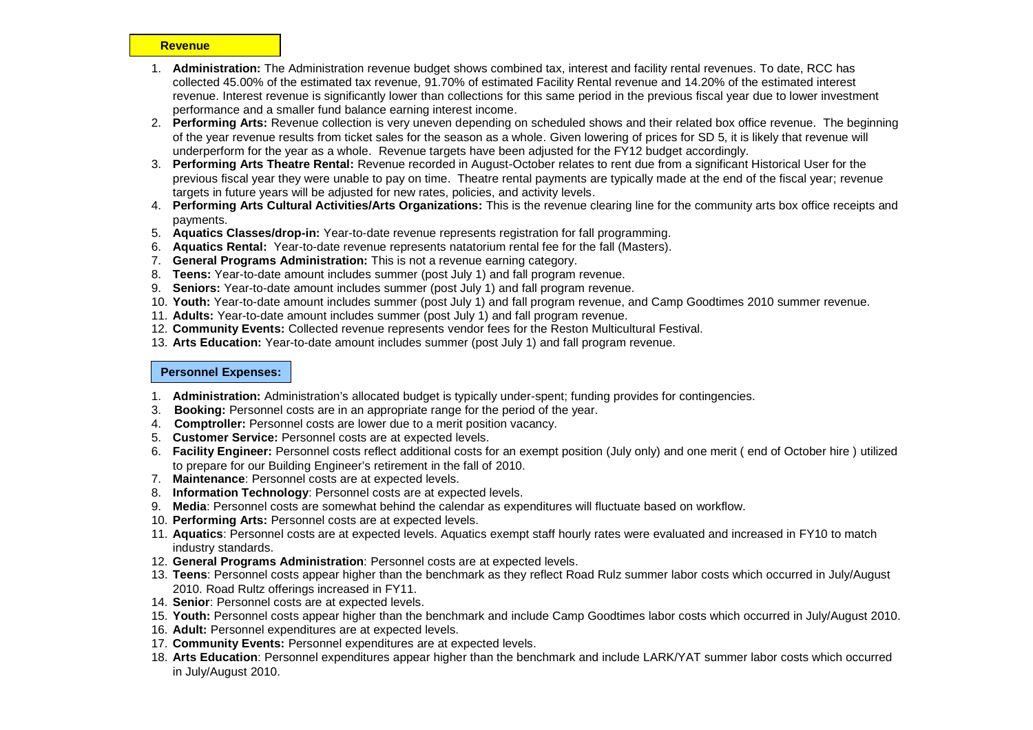#### **Revenue**

- 1. **Administration:** The Administration revenue budget shows combined tax, interest and facility rental revenues. To date, RCC has collected 45.00% of the estimated tax revenue, 91.70% of estimated Facility Rental revenue and 14.20% of the estimated interest revenue. Interest revenue is significantly lower than collections for this same period in the previous fiscal year due to lower investment performance and a smaller fund balance earning interest income.
- 2. **Performing Arts:** Revenue collection is very uneven depending on scheduled shows and their related box office revenue. The beginning of the year revenue results from ticket sales for the season as a whole. Given lowering of prices for SD 5, it is likely that revenue will underperform for the year as a whole. Revenue targets have been adjusted for the FY12 budget accordingly.
- 3. **Performing Arts Theatre Rental:** Revenue recorded in August-October relates to rent due from a significant Historical User for the previous fiscal year they were unable to pay on time. Theatre rental payments are typically made at the end of the fiscal year; revenue targets in future years will be adjusted for new rates, policies, and activity levels.
- 4. **Performing Arts Cultural Activities/Arts Organizations:** This is the revenue clearing line for the community arts box office receipts and payments.
- 5. **Aquatics Classes/drop-in:** Year-to-date revenue represents registration for fall programming.
- 6. **Aquatics Rental:** Year-to-date revenue represents natatorium rental fee for the fall (Masters).
- 7. **General Programs Administration:** This is not a revenue earning category.
- 8. **Teens:** Year-to-date amount includes summer (post July 1) and fall program revenue.
- 9. **Seniors:** Year-to-date amount includes summer (post July 1) and fall program revenue.
- 10. **Youth:** Year-to-date amount includes summer (post July 1) and fall program revenue, and Camp Goodtimes 2010 summer revenue.
- 11. **Adults:** Year-to-date amount includes summer (post July 1) and fall program revenue.
- 12. **Community Events:** Collected revenue represents vendor fees for the Reston Multicultural Festival.
- 13. **Arts Education:** Year-to-date amount includes summer (post July 1) and fall program revenue.

#### **Personnel Expenses:**

- 1. **Administration:** Administration's allocated budget is typically under-spent; funding provides for contingencies.
- 3. **Booking:** Personnel costs are in an appropriate range for the period of the year.
- 4. **Comptroller:** Personnel costs are lower due to a merit position vacancy.
- 5. **Customer Service:** Personnel costs are at expected levels.
- 6. **Facility Engineer:** Personnel costs reflect additional costs for an exempt position (July only) and one merit ( end of October hire ) utilized to prepare for our Building Engineer's retirement in the fall of 2010.
- 7. **Maintenance**: Personnel costs are at expected levels.
- 8. **Information Technology**: Personnel costs are at expected levels.
- 9. **Media**: Personnel costs are somewhat behind the calendar as expenditures will fluctuate based on workflow.
- 10. **Performing Arts:** Personnel costs are at expected levels.
- 11. **Aquatics**: Personnel costs are at expected levels. Aquatics exempt staff hourly rates were evaluated and increased in FY10 to match industry standards.
- 12. **General Programs Administration**: Personnel costs are at expected levels.
- 13. **Teens**: Personnel costs appear higher than the benchmark as they reflect Road Rulz summer labor costs which occurred in July/August 2010. Road Rultz offerings increased in FY11.
- 14. **Senior**: Personnel costs are at expected levels.
- 15. **Youth:** Personnel costs appear higher than the benchmark and include Camp Goodtimes labor costs which occurred in July/August 2010.
- 16. **Adult:** Personnel expenditures are at expected levels.
- 17. **Community Events:** Personnel expenditures are at expected levels.
- 18. **Arts Education**: Personnel expenditures appear higher than the benchmark and include LARK/YAT summer labor costs which occurred in July/August 2010.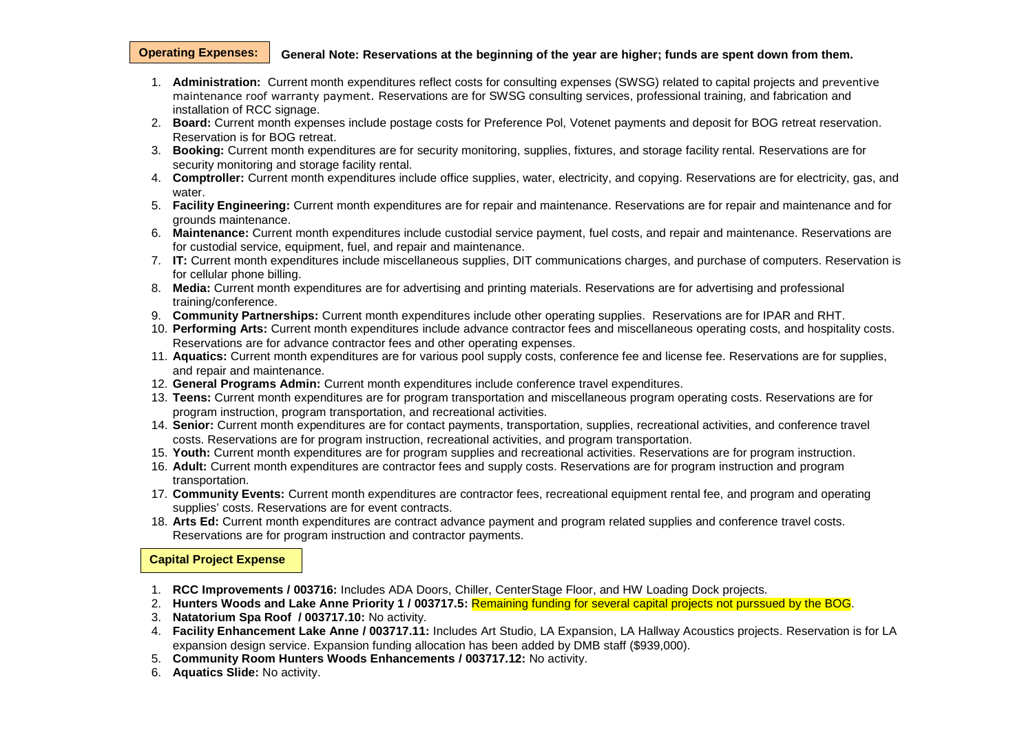#### **General Note: Reservations at the beginning of the year are higher; funds are spent down from them. Operating Expenses:**

- 1. **Administration:** Current month expenditures reflect costs for consulting expenses (SWSG) related to capital projects and preventive maintenance roof warranty payment. Reservations are for SWSG consulting services, professional training, and fabrication and installation of RCC signage.
- 2. **Board:** Current month expenses include postage costs for Preference Pol, Votenet payments and deposit for BOG retreat reservation. Reservation is for BOG retreat.
- 3. **Booking:** Current month expenditures are for security monitoring, supplies, fixtures, and storage facility rental. Reservations are for security monitoring and storage facility rental.
- 4. **Comptroller:** Current month expenditures include office supplies, water, electricity, and copying. Reservations are for electricity, gas, and water.
- 5. **Facility Engineering:** Current month expenditures are for repair and maintenance. Reservations are for repair and maintenance and for grounds maintenance.
- 6. **Maintenance:** Current month expenditures include custodial service payment, fuel costs, and repair and maintenance. Reservations are for custodial service, equipment, fuel, and repair and maintenance.
- 7. **IT:** Current month expenditures include miscellaneous supplies, DIT communications charges, and purchase of computers. Reservation is for cellular phone billing.
- 8. **Media:** Current month expenditures are for advertising and printing materials. Reservations are for advertising and professional training/conference.
- 9. **Community Partnerships:** Current month expenditures include other operating supplies. Reservations are for IPAR and RHT.
- 10. **Performing Arts:** Current month expenditures include advance contractor fees and miscellaneous operating costs, and hospitality costs. Reservations are for advance contractor fees and other operating expenses.
- 11. **Aquatics:** Current month expenditures are for various pool supply costs, conference fee and license fee. Reservations are for supplies, and repair and maintenance.
- 12. **General Programs Admin:** Current month expenditures include conference travel expenditures.
- 13. **Teens:** Current month expenditures are for program transportation and miscellaneous program operating costs. Reservations are for program instruction, program transportation, and recreational activities.
- 14. **Senior:** Current month expenditures are for contact payments, transportation, supplies, recreational activities, and conference travel costs. Reservations are for program instruction, recreational activities, and program transportation.
- 15. **Youth:** Current month expenditures are for program supplies and recreational activities. Reservations are for program instruction.
- 16. **Adult:** Current month expenditures are contractor fees and supply costs. Reservations are for program instruction and program transportation.
- 17. **Community Events:** Current month expenditures are contractor fees, recreational equipment rental fee, and program and operating supplies' costs. Reservations are for event contracts.
- 18. **Arts Ed:** Current month expenditures are contract advance payment and program related supplies and conference travel costs. Reservations are for program instruction and contractor payments.

**Capital Project Expense**

- 1. **RCC Improvements / 003716:** Includes ADA Doors, Chiller, CenterStage Floor, and HW Loading Dock projects.
- 2. **Hunters Woods and Lake Anne Priority 1 / 003717.5:** Remaining funding for several capital projects not purssued by the BOG.
- 3. **Natatorium Spa Roof / 003717.10:** No activity.
- 4. **Facility Enhancement Lake Anne / 003717.11:** Includes Art Studio, LA Expansion, LA Hallway Acoustics projects. Reservation is for LA expansion design service. Expansion funding allocation has been added by DMB staff (\$939,000).
- 5. **Community Room Hunters Woods Enhancements / 003717.12:** No activity.
- 6. **Aquatics Slide:** No activity.